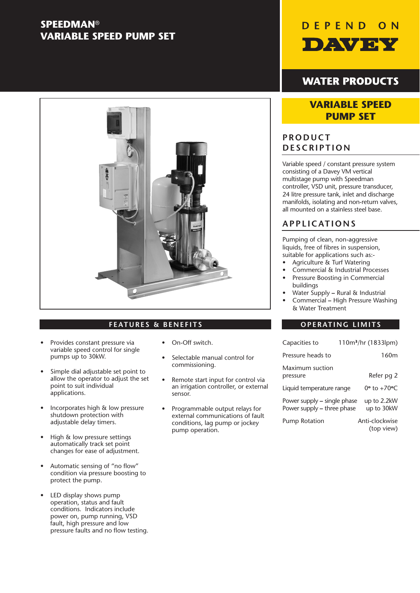## **SPEEDMAN**® **VARIABLE SPEED PUMP SET**



## **FEATURES & BENEFITS OPERATING LIMITS**

- Provides constant pressure via variable speed control for single pumps up to 30kW.
- Simple dial adjustable set point to allow the operator to adjust the set point to suit individual applications.
- Incorporates high & low pressure shutdown protection with adjustable delay timers.
- High & low pressure settings automatically track set point changes for ease of adjustment.
- Automatic sensing of "no flow" condition via pressure boosting to protect the pump.
- LED display shows pump operation, status and fault conditions. Indicators include power on, pump running, VSD fault, high pressure and low pressure faults and no flow testing.
- On-Off switch.
- Selectable manual control for commissioning.
- Remote start input for control via an irrigation controller, or external sensor.
- Programmable output relays for external communications of fault conditions, lag pump or jockey pump operation.



## **WATER PRODUCTS**

## **VARIABLE SPEED PUMP SET**

## **PRODUCT DESCRIPTION**

Variable speed / constant pressure system consisting of a Davey VM vertical multistage pump with Speedman controller, VSD unit, pressure transducer, 24 litre pressure tank, inlet and discharge manifolds, isolating and non-return valves, all mounted on a stainless steel base.

## **APPLICATIONS**

Pumping of clean, non-aggressive liquids, free of fibres in suspension, suitable for applications such as:-

- Agriculture & Turf Watering
- Commercial & Industrial Processes • Pressure Boosting in Commercial
	- buildings • Water Supply **–** Rural & Industrial
	- Commercial **–** High Pressure Washing & Water Treatment

| Capacities to                                             | 110m <sup>3</sup> /hr (1833lpm)      |
|-----------------------------------------------------------|--------------------------------------|
| Pressure heads to                                         | 160 <sub>m</sub>                     |
| Maximum suction<br>pressure                               | Refer pg 2                           |
| Liquid temperature range                                  | 0 <sup>o</sup> to +70 <sup>o</sup> C |
| Power supply – single phase<br>Power supply – three phase | up to 2.2kW<br>up to 30kW            |
| <b>Pump Rotation</b>                                      | Anti-clockwise<br>(top view)         |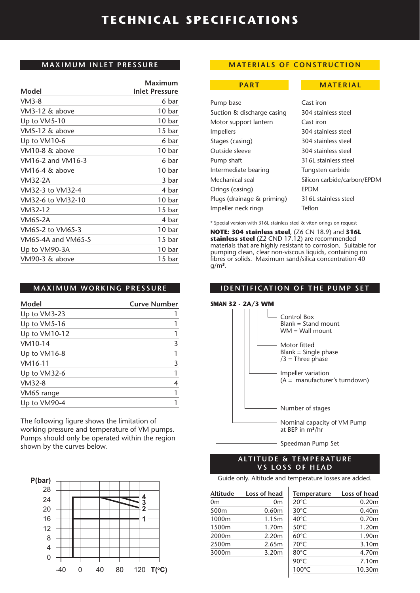## **MAXIMUM INLET PRESSURE**

|                    | Maximum               |
|--------------------|-----------------------|
| Model              | <b>Inlet Pressure</b> |
| $VM3-8$            | 6 bar                 |
| VM3-12 & above     | 10 bar                |
| Up to VM5-10       | 10 bar                |
| VM5-12 & above     | 15 bar                |
| Up to VM10-6       | 6 bar                 |
| VM10-8 & above     | 10 bar                |
| VM16-2 and VM16-3  | 6 bar                 |
| VM16-4 & above     | 10 bar                |
| VM32-2A            | 3 bar                 |
| VM32-3 to VM32-4   | 4 bar                 |
| VM32-6 to VM32-10  | 10 bar                |
| VM32-12            | 15 <sub>bar</sub>     |
| VM65-2A            | 4 bar                 |
| VM65-2 to VM65-3   | 10 bar                |
| VM65-4A and VM65-5 | 15 bar                |
| Up to VM90-3A      | 10 bar                |
| VM90-3 & above     | 15 bar                |
|                    |                       |

## **MAXIMUM WORKING PRESSURE**

| Model         | <b>Curve Number</b> |
|---------------|---------------------|
| Up to VM3-23  |                     |
| Up to VM5-16  |                     |
| Up to VM10-12 |                     |
| VM10-14       | 3                   |
| Up to VM16-8  |                     |
| VM16-11       | 3                   |
| Up to VM32-6  |                     |
| $VM32-8$      | 4                   |
| VM65 range    |                     |
| Up to VM90-4  |                     |

The following figure shows the limitation of working pressure and temperature of VM pumps. Pumps should only be operated within the region shown by the curves below.



## **MATERIALS OF CONSTRUCTION**

### **PART MATERIAL**

| Pump base                  | Cast iron                   |
|----------------------------|-----------------------------|
| Suction & discharge casing | 304 stainless steel         |
| Motor support lantern      | Cast iron                   |
| <i>Impellers</i>           | 304 stainless steel         |
| Stages (casing)            | 304 stainless steel         |
| Outside sleeve             | 304 stainless steel         |
| Pump shaft                 | 316L stainless steel        |
| Intermediate bearing       | Tungsten carbide            |
| Mechanical seal            | Silicon carbide/carbon/EPDM |
| Orings (casing)            | <b>FPDM</b>                 |
| Plugs (drainage & priming) | 316L stainless steel        |
| Impeller neck rings        | Teflon                      |
|                            |                             |

\* Special version with 316L stainless steel & viton orings on request

**NOTE: 304 stainless steel**, (Z6 CN 18.9) and **316L stainless steel** (Z2 CND 17.12) are recommended materials that are highly resistant to corrosion. Suitable for pumping clean, clear non-viscous liquids, containing no fibres or solids. Maximum sand/silica concentration 40 g/m**3**.

## **IDENTIFICATION OF THE PUMP SET**





## **ALTITUDE & TEMPERATURE VS LOSS OF HEAD**

Guide only. Altitude and temperature losses are added.

 $\overline{1}$ 

| <b>Altitude</b>  | Loss of head |
|------------------|--------------|
| 0m               | 0m           |
| 500 <sub>m</sub> | 0.60m        |
| 1000m            | 1.15m        |
| 1500m            | 1.70m        |
| 2000m            | 2.20m        |
| 2500m            | 2.65m        |
| 3000m            | 3.20m        |
|                  |              |
|                  |              |

| <b>Temperature</b> | Loss of head      |
|--------------------|-------------------|
| $20^{\circ}$ C     | 0.20 <sub>m</sub> |
| $30^{\circ}$ C     | 0.40 <sub>m</sub> |
| $40^{\circ}$ C     | 0.70 <sub>m</sub> |
| $50^{\circ}$ C     | 1.20 <sub>m</sub> |
| $60^{\circ}$ C     | 1.90m             |
| 70°C               | 3.10m             |
| 80°C               | 4.70m             |
| $90^{\circ}$ C     | 7.10m             |
| 100°C              | 10.30m            |
|                    |                   |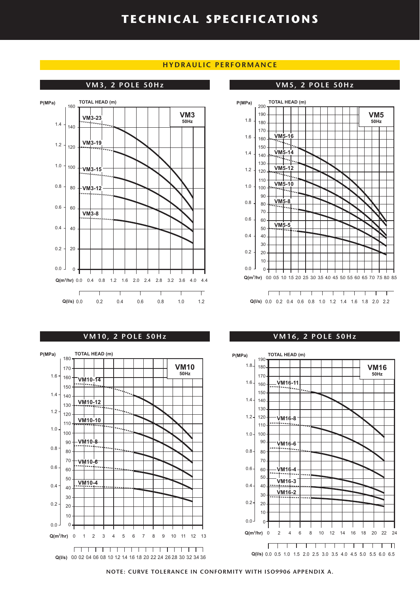## **HYDRAULIC PERFORMANCE**

## **VM3, 2 POLE 50Hz VM5, 2 POLE 50Hz**



### **P(MPa) TOTAL HEAD (m)** 200 190 **VM5** 1.8 **50Hz** 180 170 **VM5-16** 1.6 160  $\overline{\mathcal{L}}$ 150 **VM5-14** 1.4 140  $\overline{\phantom{a}}$  . 130 **VM5-12** 1.2 120 लन्द 110 **VM5-10** 1.0 100 90 **VM5-8** 0.8 80 .... 70 0.6 60 **VM5-5** 50 0.4 40 30 0.2 20 10  $0.0<sub>1</sub>$ 0 **Q(m3 /hr)** 0.0 0.5 1.0 1.5 2.0 2.5 3.0 3.5 4.0 4.5 5.0 5.5 6.0 6.5 7.0 7.5 8.0 8.5  $\Gamma$ 1 1 1 1 1 1 1 1 1 1 1 1 1 **Q(l/s)** 0.0 0.2 0.4 0.6 0.8 1.0 1.2 1.4 1.6 1.8 2.0 2.2

### **VM10, 2 POLE 50Hz VM16, 2 POLE 50Hz**





**NOTE: CURVE TOLERANCE IN CONFORMITY WITH ISO9906 APPENDIX A.**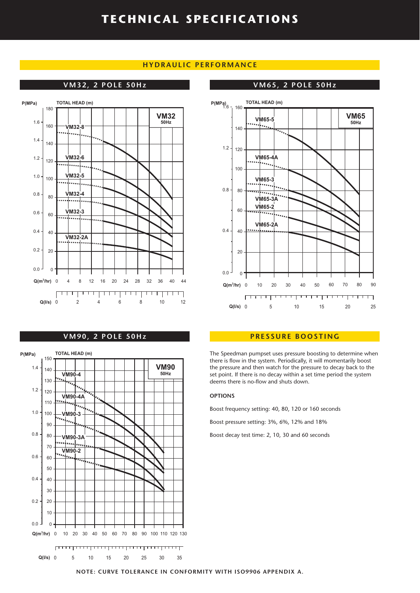## **HYDRAULIC PERFORMANCE**



### **VM90, 2 POLE 50Hz**



### **VM32, 2 POLE 50Hz VM65, 2 POLE 50Hz**



### **PRESSURE BOOSTING**

The Speedman pumpset uses pressure boosting to determine when there is flow in the system. Periodically, it will momentarily boost the pressure and then watch for the pressure to decay back to the set point. If there is no decay within a set time period the system deems there is no-flow and shuts down.

### **OPTIONS**

Boost frequency setting: 40, 80, 120 or 160 seconds

Boost pressure setting: 3%, 6%, 12% and 18%

Boost decay test time: 2, 10, 30 and 60 seconds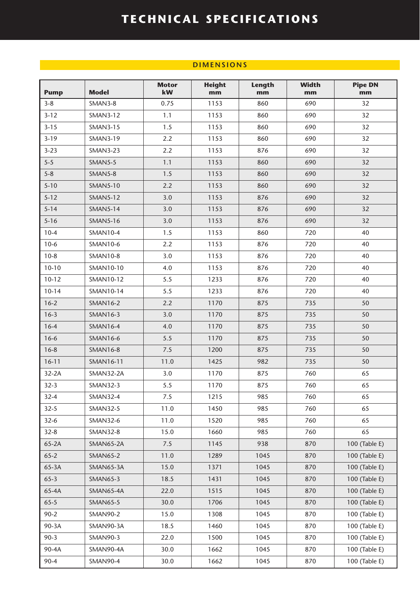## **DIMENSIONS CONTRACT AND INTERNATIONS**

| <b>Pump</b> | <b>Model</b>     | <b>Motor</b><br>kW | <b>Height</b><br>mm | Length<br>mm | <b>Width</b><br>mm | <b>Pipe DN</b><br>mm |
|-------------|------------------|--------------------|---------------------|--------------|--------------------|----------------------|
| $3 - 8$     | SMAN3-8          | 0.75               | 1153                | 860          | 690                | 32                   |
| $3 - 12$    | <b>SMAN3-12</b>  | 1.1                | 1153                | 860          | 690                | 32                   |
| $3 - 15$    | <b>SMAN3-15</b>  | 1.5                | 1153                | 860          | 690                | 32                   |
| $3-19$      | <b>SMAN3-19</b>  | 2.2                | 1153                | 860          | 690                | 32                   |
| $3 - 23$    | <b>SMAN3-23</b>  | 2.2                | 1153                | 876          | 690                | 32                   |
| $5 - 5$     | SMAN5-5          | 1.1                | 1153                | 860          | 690                | 32                   |
| $5 - 8$     | SMAN5-8          | 1.5                | 1153                | 860          | 690                | 32                   |
| $5 - 10$    | <b>SMAN5-10</b>  | 2.2                | 1153                | 860          | 690                | 32                   |
| $5 - 12$    | <b>SMAN5-12</b>  | 3.0                | 1153                | 876          | 690                | 32                   |
| $5 - 14$    | <b>SMAN5-14</b>  | 3.0                | 1153                | 876          | 690                | 32                   |
| $5 - 16$    | <b>SMAN5-16</b>  | 3.0                | 1153                | 876          | 690                | 32                   |
| $10-4$      | <b>SMAN10-4</b>  | 1.5                | 1153                | 860          | 720                | 40                   |
| $10-6$      | <b>SMAN10-6</b>  | 2.2                | 1153                | 876          | 720                | 40                   |
| $10-8$      | <b>SMAN10-8</b>  | 3.0                | 1153                | 876          | 720                | 40                   |
| $10-10$     | SMAN10-10        | 4.0                | 1153                | 876          | 720                | 40                   |
| $10-12$     | SMAN10-12        | 5.5                | 1233                | 876          | 720                | 40                   |
| $10 - 14$   | SMAN10-14        | 5.5                | 1233                | 876          | 720                | 40                   |
| $16 - 2$    | <b>SMAN16-2</b>  | 2.2                | 1170                | 875          | 735                | 50                   |
| $16-3$      | <b>SMAN16-3</b>  | 3.0                | 1170                | 875          | 735                | 50                   |
| $16-4$      | <b>SMAN16-4</b>  | 4.0                | 1170                | 875          | 735                | 50                   |
| $16 - 6$    | <b>SMAN16-6</b>  | 5.5                | 1170                | 875          | 735                | 50                   |
| $16 - 8$    | <b>SMAN16-8</b>  | 7.5                | 1200                | 875          | 735                | 50                   |
| $16 - 11$   | <b>SMAN16-11</b> | 11.0               | 1425                | 982          | 735                | 50                   |
| $32-2A$     | <b>SMAN32-2A</b> | 3.0                | 1170                | 875          | 760                | 65                   |
| $32-3$      | <b>SMAN32-3</b>  | 5.5                | 1170                | 875          | 760                | 65                   |
| $32 - 4$    | <b>SMAN32-4</b>  | 7.5                | 1215                | 985          | 760                | 65                   |
| $32 - 5$    | <b>SMAN32-5</b>  | 11.0               | 1450                | 985          | 760                | 65                   |
| $32-6$      | <b>SMAN32-6</b>  | 11.0               | 1520                | 985          | 760                | 65                   |
| $32 - 8$    | <b>SMAN32-8</b>  | 15.0               | 1660                | 985          | 760                | 65                   |
| $65-2A$     | SMAN65-2A        | 7.5                | 1145                | 938          | 870                | 100 (Table E)        |
| $65 - 2$    | <b>SMAN65-2</b>  | 11.0               | 1289                | 1045         | 870                | 100 (Table E)        |
| $65-3A$     | SMAN65-3A        | 15.0               | 1371                | 1045         | 870                | 100 (Table E)        |
| $65 - 3$    | <b>SMAN65-3</b>  | 18.5               | 1431                | 1045         | 870                | 100 (Table E)        |
| 65-4A       | SMAN65-4A        | 22.0               | 1515                | 1045         | 870                | 100 (Table E)        |
| $65 - 5$    | <b>SMAN65-5</b>  | 30.0               | 1706                | 1045         | 870                | 100 (Table E)        |
| $90 - 2$    | <b>SMAN90-2</b>  | 15.0               | 1308                | 1045         | 870                | 100 (Table E)        |
| 90-3A       | SMAN90-3A        | 18.5               | 1460                | 1045         | 870                | 100 (Table E)        |
| $90-3$      | <b>SMAN90-3</b>  | 22.0               | 1500                | 1045         | 870                | 100 (Table E)        |
| 90-4A       | SMAN90-4A        | 30.0               | 1662                | 1045         | 870                | 100 (Table E)        |
| $90 - 4$    | <b>SMAN90-4</b>  | 30.0               | 1662                | 1045         | 870                | 100 (Table E)        |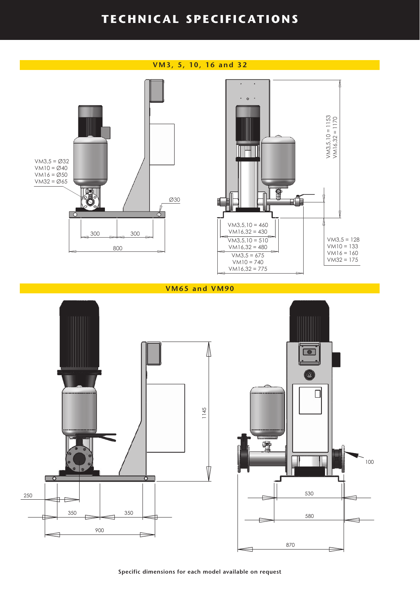## **VM3, 5, 10, 16 and 32**  $\ddot{\circ}$ VM3,5,10 = 1153<br>VM16,32 = 1170 VM3,5 = Ø32  $VM10 = Ø40$  $VM16 = Ø50$ VM32 = Ø65 g n st EÑ Ø30 ١f  $\overline{\phi}$  $VM3,5,10 = 460$  $VM16,32 = 430$ 300 300  $V/M3,5,10 = 510$  $VM3,5 = 128$  $VM10 = 133$ 800  $VM16,32 = 480$  $VM16 = 160$ <br> $VM32 = 175$  $VM3,5 = 675$  $VM10 = 740$  $VM16,32 = 775$

**VM65 and VM90**





**Specific dimensions for each model available on request**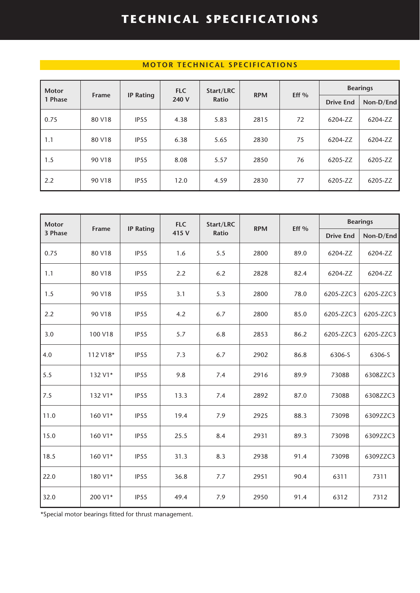## **MOTOR TECHNICAL SPECIFICATIONS**

| <b>Motor</b> |              |                  | <b>FLC</b> | Start/LRC    |            | Eff $%$ | <b>Bearings</b>  |           |
|--------------|--------------|------------------|------------|--------------|------------|---------|------------------|-----------|
| 1 Phase      | <b>Frame</b> | <b>IP Rating</b> | 240 V      | <b>Ratio</b> | <b>RPM</b> |         | <b>Drive End</b> | Non-D/End |
| 0.75         | 80 V18       | IP <sub>55</sub> | 4.38       | 5.83         | 2815       | 72      | 6204-ZZ          | 6204-ZZ   |
| 1.1          | 80 V18       | IP <sub>55</sub> | 6.38       | 5.65         | 2830       | 75      | 6204-ZZ          | 6204-ZZ   |
| 1.5          | 90 V18       | IP <sub>55</sub> | 8.08       | 5.57         | 2850       | 76      | 6205-ZZ          | 6205-ZZ   |
| 2.2          | 90 V18       | IP <sub>55</sub> | 12.0       | 4.59         | 2830       | 77      | 6205-ZZ          | 6205-ZZ   |

| <b>Motor</b> | <b>Frame</b> | <b>IP Rating</b> | <b>FLC</b> | Start/LRC    |      | <b>RPM</b><br>Eff % | <b>Bearings</b>  |           |  |
|--------------|--------------|------------------|------------|--------------|------|---------------------|------------------|-----------|--|
| 3 Phase      |              |                  | 415 V      | <b>Ratio</b> |      |                     | <b>Drive End</b> | Non-D/End |  |
| 0.75         | 80 V18       | IP <sub>55</sub> | 1.6        | 5.5          | 2800 | 89.0                | 6204-ZZ          | 6204-ZZ   |  |
| 1.1          | 80 V18       | IP <sub>55</sub> | 2.2        | 6.2          | 2828 | 82.4                | 6204-ZZ          | 6204-ZZ   |  |
| 1.5          | 90 V18       | IP <sub>55</sub> | 3.1        | 5.3          | 2800 | 78.0                | 6205-ZZC3        | 6205-ZZC3 |  |
| 2.2          | 90 V18       | IP55             | 4.2        | 6.7          | 2800 | 85.0                | 6205-ZZC3        | 6205-ZZC3 |  |
| 3.0          | 100 V18      | IP <sub>55</sub> | 5.7        | 6.8          | 2853 | 86.2                | 6205-ZZC3        | 6205-ZZC3 |  |
| 4.0          | 112 V18*     | IP <sub>55</sub> | 7.3        | 6.7          | 2902 | 86.8                | 6306-S           | 6306-S    |  |
| 5.5          | 132 V1*      | IP55             | 9.8        | 7.4          | 2916 | 89.9                | 7308B            | 6308ZZC3  |  |
| 7.5          | 132 V1*      | IP <sub>55</sub> | 13.3       | 7.4          | 2892 | 87.0                | 7308B            | 6308ZZC3  |  |
| 11.0         | 160 V1*      | IP55             | 19.4       | 7.9          | 2925 | 88.3                | 7309B            | 6309ZZC3  |  |
| 15.0         | 160 V1*      | IP <sub>55</sub> | 25.5       | 8.4          | 2931 | 89.3                | 7309B            | 6309ZZC3  |  |
| 18.5         | 160 V1*      | IP <sub>55</sub> | 31.3       | 8.3          | 2938 | 91.4                | 7309B            | 6309ZZC3  |  |
| 22.0         | 180 V1*      | IP <sub>55</sub> | 36.8       | 7.7          | 2951 | 90.4                | 6311             | 7311      |  |
| 32.0         | 200 V1*      | IP55             | 49.4       | 7.9          | 2950 | 91.4                | 6312             | 7312      |  |

\*Special motor bearings fitted for thrust management.